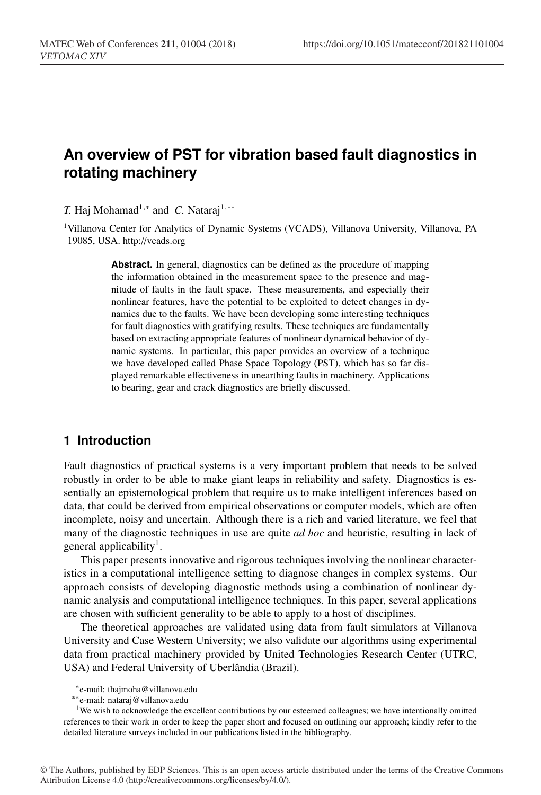# **An overview of PST for vibration based fault diagnostics in rotating machinery**

*T.* Haj Mohamad<sup>1,\*</sup> and *C.* Nataraj<sup>1,\*\*</sup>

1Villanova Center for Analytics of Dynamic Systems (VCADS), Villanova University, Villanova, PA 19085, USA. http://vcads.org

> **Abstract.** In general, diagnostics can be defined as the procedure of mapping the information obtained in the measurement space to the presence and magnitude of faults in the fault space. These measurements, and especially their nonlinear features, have the potential to be exploited to detect changes in dynamics due to the faults. We have been developing some interesting techniques for fault diagnostics with gratifying results. These techniques are fundamentally based on extracting appropriate features of nonlinear dynamical behavior of dynamic systems. In particular, this paper provides an overview of a technique we have developed called Phase Space Topology (PST), which has so far displayed remarkable effectiveness in unearthing faults in machinery. Applications to bearing, gear and crack diagnostics are briefly discussed.

### **1 Introduction**

Fault diagnostics of practical systems is a very important problem that needs to be solved robustly in order to be able to make giant leaps in reliability and safety. Diagnostics is essentially an epistemological problem that require us to make intelligent inferences based on data, that could be derived from empirical observations or computer models, which are often incomplete, noisy and uncertain. Although there is a rich and varied literature, we feel that many of the diagnostic techniques in use are quite *ad hoc* and heuristic, resulting in lack of general applicability<sup>1</sup>.

This paper presents innovative and rigorous techniques involving the nonlinear characteristics in a computational intelligence setting to diagnose changes in complex systems. Our approach consists of developing diagnostic methods using a combination of nonlinear dynamic analysis and computational intelligence techniques. In this paper, several applications are chosen with sufficient generality to be able to apply to a host of disciplines.

The theoretical approaches are validated using data from fault simulators at Villanova University and Case Western University; we also validate our algorithms using experimental data from practical machinery provided by United Technologies Research Center (UTRC, USA) and Federal University of Uberlândia (Brazil).

<sup>∗</sup>e-mail: thajmoha@villanova.edu

<sup>∗∗</sup>e-mail: nataraj@villanova.edu

<sup>&</sup>lt;sup>1</sup>We wish to acknowledge the excellent contributions by our esteemed colleagues; we have intentionally omitted references to their work in order to keep the paper short and focused on outlining our approach; kindly refer to the detailed literature surveys included in our publications listed in the bibliography.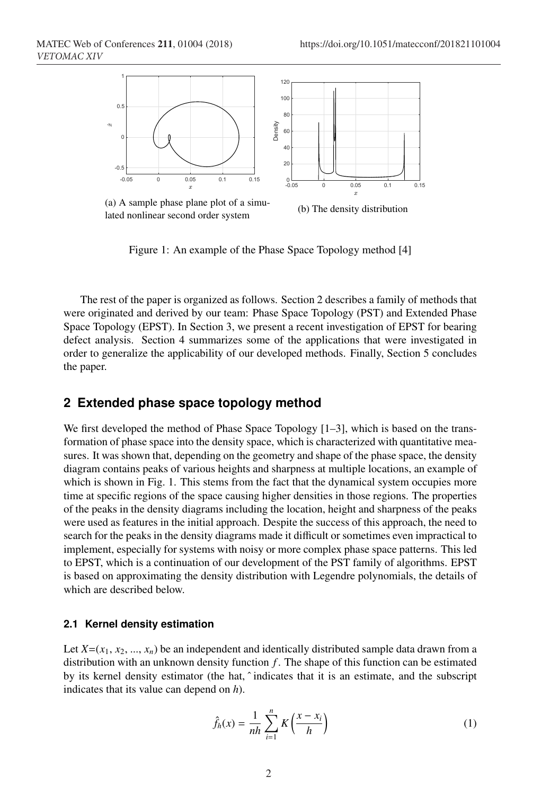

lated nonlinear second order system



Figure 1: An example of the Phase Space Topology method [4]

The rest of the paper is organized as follows. Section 2 describes a family of methods that were originated and derived by our team: Phase Space Topology (PST) and Extended Phase Space Topology (EPST). In Section 3, we present a recent investigation of EPST for bearing defect analysis. Section 4 summarizes some of the applications that were investigated in order to generalize the applicability of our developed methods. Finally, Section 5 concludes the paper.

### **2 Extended phase space topology method**

We first developed the method of Phase Space Topology  $[1-3]$ , which is based on the transformation of phase space into the density space, which is characterized with quantitative measures. It was shown that, depending on the geometry and shape of the phase space, the density diagram contains peaks of various heights and sharpness at multiple locations, an example of which is shown in Fig. 1. This stems from the fact that the dynamical system occupies more time at specific regions of the space causing higher densities in those regions. The properties of the peaks in the density diagrams including the location, height and sharpness of the peaks were used as features in the initial approach. Despite the success of this approach, the need to search for the peaks in the density diagrams made it difficult or sometimes even impractical to implement, especially for systems with noisy or more complex phase space patterns. This led to EPST, which is a continuation of our development of the PST family of algorithms. EPST is based on approximating the density distribution with Legendre polynomials, the details of which are described below.

#### **2.1 Kernel density estimation**

Let  $X=(x_1, x_2, ..., x_n)$  be an independent and identically distributed sample data drawn from a distribution with an unknown density function *f*. The shape of this function can be estimated by its kernel density estimator (the hat,  $\hat{ }$  indicates that it is an estimate, and the subscript indicates that its value can depend on *h*).

$$
\hat{f}_h(x) = \frac{1}{nh} \sum_{i=1}^n K\left(\frac{x - x_i}{h}\right) \tag{1}
$$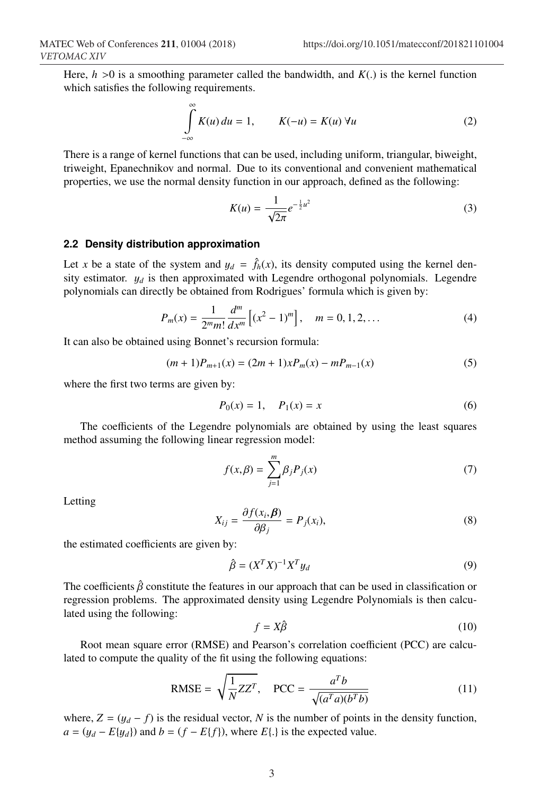Here,  $h > 0$  is a smoothing parameter called the bandwidth, and  $K(.)$  is the kernel function which satisfies the following requirements.

$$
\int_{-\infty}^{\infty} K(u) du = 1, \qquad K(-u) = K(u) \ \forall u \tag{2}
$$

There is a range of kernel functions that can be used, including uniform, triangular, biweight, triweight, Epanechnikov and normal. Due to its conventional and convenient mathematical properties, we use the normal density function in our approach, defined as the following:

$$
K(u) = \frac{1}{\sqrt{2\pi}} e^{-\frac{1}{2}u^2}
$$
 (3)

#### **2.2 Density distribution approximation**

Let *x* be a state of the system and  $y_d = \hat{f}_h(x)$ , its density computed using the kernel density estimator.  $y_d$  is then approximated with Legendre orthogonal polynomials. Legendre polynomials can directly be obtained from Rodrigues' formula which is given by:

$$
P_m(x) = \frac{1}{2^m m!} \frac{d^m}{dx^m} \left[ (x^2 - 1)^m \right], \quad m = 0, 1, 2, \dots
$$
 (4)

It can also be obtained using Bonnet's recursion formula:

$$
(m+1)P_{m+1}(x) = (2m+1)xP_m(x) - mP_{m-1}(x)
$$
\n(5)

where the first two terms are given by:

$$
P_0(x) = 1, \quad P_1(x) = x \tag{6}
$$

The coefficients of the Legendre polynomials are obtained by using the least squares method assuming the following linear regression model:

$$
f(x,\beta) = \sum_{j=1}^{m} \beta_j P_j(x) \tag{7}
$$

Letting

$$
X_{ij} = \frac{\partial f(x_i, \boldsymbol{\beta})}{\partial \beta_j} = P_j(x_i),\tag{8}
$$

the estimated coefficients are given by:

$$
\hat{\beta} = (X^T X)^{-1} X^T y_d \tag{9}
$$

The coefficients  $\hat{\beta}$  constitute the features in our approach that can be used in classification or regression problems. The approximated density using Legendre Polynomials is then calculated using the following:

$$
f = X\hat{\beta} \tag{10}
$$

Root mean square error (RMSE) and Pearson's correlation coefficient (PCC) are calculated to compute the quality of the fit using the following equations:

$$
RMSE = \sqrt{\frac{1}{N}ZZ^{T}}, \quad PCC = \frac{a^{T}b}{\sqrt{(a^{T}a)(b^{T}b)}} \tag{11}
$$

where,  $Z = (y_d - f)$  is the residual vector, *N* is the number of points in the density function,  $a = (y_d - E\{y_d\})$  and  $b = (f - E\{f\})$ , where  $E\{.\}$  is the expected value.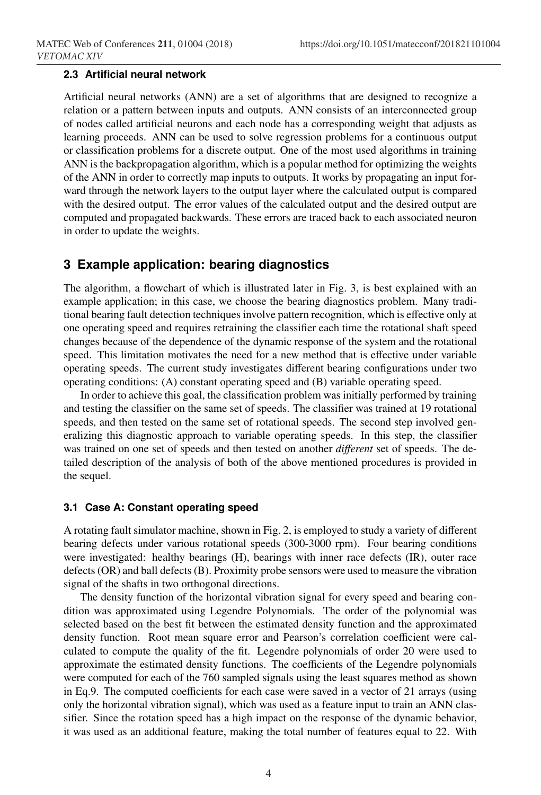#### **2.3 Artificial neural network**

Artificial neural networks (ANN) are a set of algorithms that are designed to recognize a relation or a pattern between inputs and outputs. ANN consists of an interconnected group of nodes called artificial neurons and each node has a corresponding weight that adjusts as learning proceeds. ANN can be used to solve regression problems for a continuous output or classification problems for a discrete output. One of the most used algorithms in training ANN is the backpropagation algorithm, which is a popular method for optimizing the weights of the ANN in order to correctly map inputs to outputs. It works by propagating an input forward through the network layers to the output layer where the calculated output is compared with the desired output. The error values of the calculated output and the desired output are computed and propagated backwards. These errors are traced back to each associated neuron in order to update the weights.

### **3 Example application: bearing diagnostics**

The algorithm, a flowchart of which is illustrated later in Fig. 3, is best explained with an example application; in this case, we choose the bearing diagnostics problem. Many traditional bearing fault detection techniques involve pattern recognition, which is effective only at one operating speed and requires retraining the classifier each time the rotational shaft speed changes because of the dependence of the dynamic response of the system and the rotational speed. This limitation motivates the need for a new method that is effective under variable operating speeds. The current study investigates different bearing configurations under two operating conditions: (A) constant operating speed and (B) variable operating speed.

In order to achieve this goal, the classification problem was initially performed by training and testing the classifier on the same set of speeds. The classifier was trained at 19 rotational speeds, and then tested on the same set of rotational speeds. The second step involved generalizing this diagnostic approach to variable operating speeds. In this step, the classifier was trained on one set of speeds and then tested on another *di*ff*erent* set of speeds. The detailed description of the analysis of both of the above mentioned procedures is provided in the sequel.

#### **3.1 Case A: Constant operating speed**

A rotating fault simulator machine, shown in Fig. 2, is employed to study a variety of different bearing defects under various rotational speeds (300-3000 rpm). Four bearing conditions were investigated: healthy bearings (H), bearings with inner race defects (IR), outer race defects (OR) and ball defects (B). Proximity probe sensors were used to measure the vibration signal of the shafts in two orthogonal directions.

The density function of the horizontal vibration signal for every speed and bearing condition was approximated using Legendre Polynomials. The order of the polynomial was selected based on the best fit between the estimated density function and the approximated density function. Root mean square error and Pearson's correlation coefficient were calculated to compute the quality of the fit. Legendre polynomials of order 20 were used to approximate the estimated density functions. The coefficients of the Legendre polynomials were computed for each of the 760 sampled signals using the least squares method as shown in Eq.9. The computed coefficients for each case were saved in a vector of 21 arrays (using only the horizontal vibration signal), which was used as a feature input to train an ANN classifier. Since the rotation speed has a high impact on the response of the dynamic behavior, it was used as an additional feature, making the total number of features equal to 22. With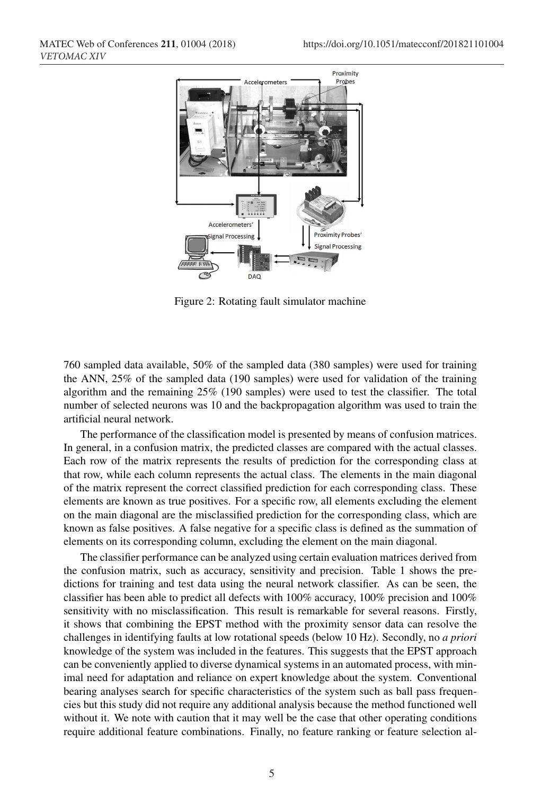

Figure 2: Rotating fault simulator machine

760 sampled data available, 50% of the sampled data (380 samples) were used for training the ANN, 25% of the sampled data (190 samples) were used for validation of the training algorithm and the remaining 25% (190 samples) were used to test the classifier. The total number of selected neurons was 10 and the backpropagation algorithm was used to train the artificial neural network.

The performance of the classification model is presented by means of confusion matrices. In general, in a confusion matrix, the predicted classes are compared with the actual classes. Each row of the matrix represents the results of prediction for the corresponding class at that row, while each column represents the actual class. The elements in the main diagonal of the matrix represent the correct classified prediction for each corresponding class. These elements are known as true positives. For a specific row, all elements excluding the element on the main diagonal are the misclassified prediction for the corresponding class, which are known as false positives. A false negative for a specific class is defined as the summation of elements on its corresponding column, excluding the element on the main diagonal.

The classifier performance can be analyzed using certain evaluation matrices derived from the confusion matrix, such as accuracy, sensitivity and precision. Table 1 shows the predictions for training and test data using the neural network classifier. As can be seen, the classifier has been able to predict all defects with 100% accuracy, 100% precision and 100% sensitivity with no misclassification. This result is remarkable for several reasons. Firstly, it shows that combining the EPST method with the proximity sensor data can resolve the challenges in identifying faults at low rotational speeds (below 10 Hz). Secondly, no *a priori* knowledge of the system was included in the features. This suggests that the EPST approach can be conveniently applied to diverse dynamical systems in an automated process, with minimal need for adaptation and reliance on expert knowledge about the system. Conventional bearing analyses search for specific characteristics of the system such as ball pass frequencies but this study did not require any additional analysis because the method functioned well without it. We note with caution that it may well be the case that other operating conditions require additional feature combinations. Finally, no feature ranking or feature selection al-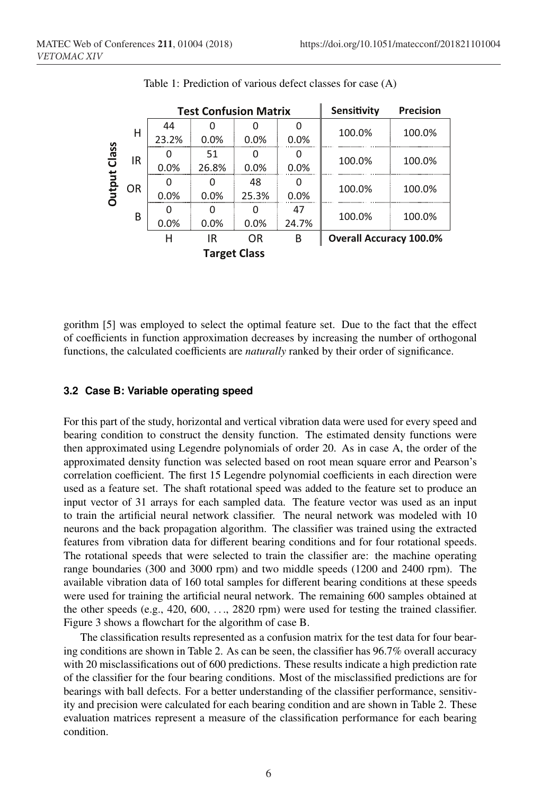|                     |    |       | <b>Test Confusion Matrix</b> | Sensitivity | <b>Precision</b> |                                |        |
|---------------------|----|-------|------------------------------|-------------|------------------|--------------------------------|--------|
|                     | н  | 44    |                              |             |                  | 100.0%                         | 100.0% |
| <b>ass</b>          |    | 23.2% | 0.0%                         | 0.0%        | 0.0%             |                                |        |
|                     | IR |       | 51                           |             |                  | 100.0%                         | 100.0% |
|                     |    | 0.0%  | 26.8%                        | 0.0%        | 0.0%             |                                |        |
|                     | OR |       |                              | 48          |                  | 100.0%                         | 100.0% |
|                     |    | 0.0%  | 0.0%                         | 25.3%       | 0.0%             |                                |        |
|                     | B  |       |                              |             | 47               | 100.0%                         | 100.0% |
|                     |    | 0.0%  | 0.0%                         | 0.0%        | 24.7%            |                                |        |
|                     |    |       | IR                           | ΟR          | В                | <b>Overall Accuracy 100.0%</b> |        |
| <b>Target Class</b> |    |       |                              |             |                  |                                |        |

Table 1: Prediction of various defect classes for case (A)

gorithm [5] was employed to select the optimal feature set. Due to the fact that the effect of coefficients in function approximation decreases by increasing the number of orthogonal functions, the calculated coefficients are *naturally* ranked by their order of significance.

#### **3.2 Case B: Variable operating speed**

For this part of the study, horizontal and vertical vibration data were used for every speed and bearing condition to construct the density function. The estimated density functions were then approximated using Legendre polynomials of order 20. As in case A, the order of the approximated density function was selected based on root mean square error and Pearson's correlation coefficient. The first 15 Legendre polynomial coefficients in each direction were used as a feature set. The shaft rotational speed was added to the feature set to produce an input vector of 31 arrays for each sampled data. The feature vector was used as an input to train the artificial neural network classifier. The neural network was modeled with 10 neurons and the back propagation algorithm. The classifier was trained using the extracted features from vibration data for different bearing conditions and for four rotational speeds. The rotational speeds that were selected to train the classifier are: the machine operating range boundaries (300 and 3000 rpm) and two middle speeds (1200 and 2400 rpm). The available vibration data of 160 total samples for different bearing conditions at these speeds were used for training the artificial neural network. The remaining 600 samples obtained at the other speeds (e.g., 420, 600, ..., 2820 rpm) were used for testing the trained classifier. Figure 3 shows a flowchart for the algorithm of case B.

The classification results represented as a confusion matrix for the test data for four bearing conditions are shown in Table 2. As can be seen, the classifier has 96.7% overall accuracy with 20 misclassifications out of 600 predictions. These results indicate a high prediction rate of the classifier for the four bearing conditions. Most of the misclassified predictions are for bearings with ball defects. For a better understanding of the classifier performance, sensitivity and precision were calculated for each bearing condition and are shown in Table 2. These evaluation matrices represent a measure of the classification performance for each bearing condition.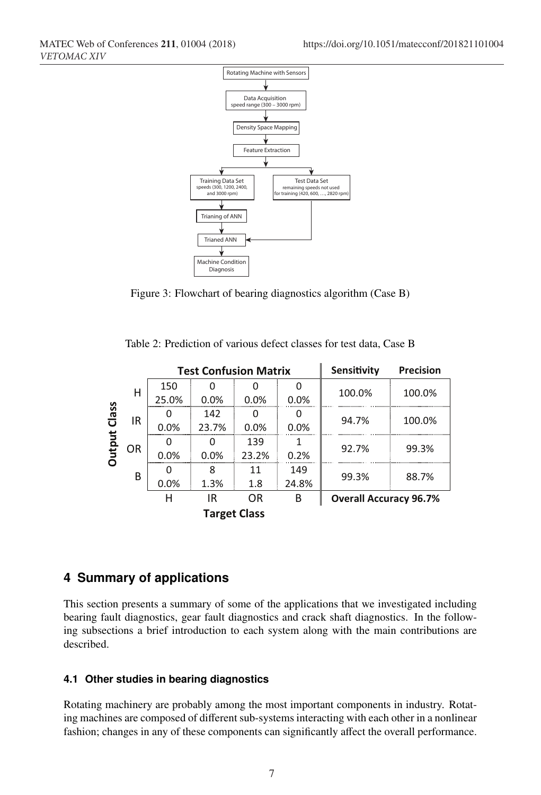

Figure 3: Flowchart of bearing diagnostics algorithm (Case B)

| Table 2: Prediction of various defect classes for test data, Case B |  |  |  |  |  |  |  |
|---------------------------------------------------------------------|--|--|--|--|--|--|--|
|---------------------------------------------------------------------|--|--|--|--|--|--|--|

|                     |    |       | <b>Test Confusion Matrix</b> | Sensitivity | <b>Precision</b> |                               |        |
|---------------------|----|-------|------------------------------|-------------|------------------|-------------------------------|--------|
|                     | н  | 150   |                              |             |                  | 100.0%                        | 100.0% |
| Class<br>ä          |    | 25.0% | 0.0%                         | 0.0%        | 0.0%             |                               |        |
|                     | IR |       | 142                          |             |                  | 94.7%                         | 100.0% |
|                     |    | 0.0%  | 23.7%                        | 0.0%        | 0.0%             |                               |        |
|                     | OR |       |                              | 139         |                  |                               | 99.3%  |
|                     |    | 0.0%  | 0.0%                         | 23.2%       | 0.2%             | 92.7%                         |        |
|                     | В  |       | Ջ                            | 11          | 149              | 99.3%                         |        |
|                     |    | 0.0%  | 1.3%                         | 1.8         | 24.8%            |                               | 88.7%  |
|                     |    |       | IR                           | OR          | В                | <b>Overall Accuracy 96.7%</b> |        |
| <b>Target Class</b> |    |       |                              |             |                  |                               |        |

### **4 Summary of applications**

This section presents a summary of some of the applications that we investigated including bearing fault diagnostics, gear fault diagnostics and crack shaft diagnostics. In the following subsections a brief introduction to each system along with the main contributions are described.

#### **4.1 Other studies in bearing diagnostics**

Rotating machinery are probably among the most important components in industry. Rotating machines are composed of different sub-systems interacting with each other in a nonlinear fashion; changes in any of these components can significantly affect the overall performance.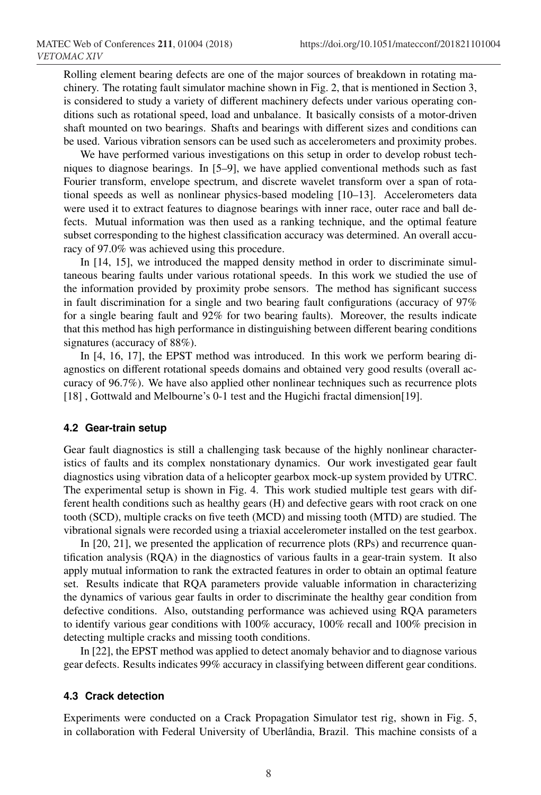Rolling element bearing defects are one of the major sources of breakdown in rotating machinery. The rotating fault simulator machine shown in Fig. 2, that is mentioned in Section 3, is considered to study a variety of different machinery defects under various operating conditions such as rotational speed, load and unbalance. It basically consists of a motor-driven shaft mounted on two bearings. Shafts and bearings with different sizes and conditions can be used. Various vibration sensors can be used such as accelerometers and proximity probes.

We have performed various investigations on this setup in order to develop robust techniques to diagnose bearings. In [5–9], we have applied conventional methods such as fast Fourier transform, envelope spectrum, and discrete wavelet transform over a span of rotational speeds as well as nonlinear physics-based modeling [10–13]. Accelerometers data were used it to extract features to diagnose bearings with inner race, outer race and ball defects. Mutual information was then used as a ranking technique, and the optimal feature subset corresponding to the highest classification accuracy was determined. An overall accuracy of 97.0% was achieved using this procedure.

In [14, 15], we introduced the mapped density method in order to discriminate simultaneous bearing faults under various rotational speeds. In this work we studied the use of the information provided by proximity probe sensors. The method has significant success in fault discrimination for a single and two bearing fault configurations (accuracy of 97% for a single bearing fault and 92% for two bearing faults). Moreover, the results indicate that this method has high performance in distinguishing between different bearing conditions signatures (accuracy of 88%).

In [4, 16, 17], the EPST method was introduced. In this work we perform bearing diagnostics on different rotational speeds domains and obtained very good results (overall accuracy of 96.7%). We have also applied other nonlinear techniques such as recurrence plots [18], Gottwald and Melbourne's 0-1 test and the Hugichi fractal dimension[19].

#### **4.2 Gear-train setup**

Gear fault diagnostics is still a challenging task because of the highly nonlinear characteristics of faults and its complex nonstationary dynamics. Our work investigated gear fault diagnostics using vibration data of a helicopter gearbox mock-up system provided by UTRC. The experimental setup is shown in Fig. 4. This work studied multiple test gears with different health conditions such as healthy gears (H) and defective gears with root crack on one tooth (SCD), multiple cracks on five teeth (MCD) and missing tooth (MTD) are studied. The vibrational signals were recorded using a triaxial accelerometer installed on the test gearbox.

In [20, 21], we presented the application of recurrence plots (RPs) and recurrence quantification analysis (RQA) in the diagnostics of various faults in a gear-train system. It also apply mutual information to rank the extracted features in order to obtain an optimal feature set. Results indicate that RQA parameters provide valuable information in characterizing the dynamics of various gear faults in order to discriminate the healthy gear condition from defective conditions. Also, outstanding performance was achieved using RQA parameters to identify various gear conditions with 100% accuracy, 100% recall and 100% precision in detecting multiple cracks and missing tooth conditions.

In [22], the EPST method was applied to detect anomaly behavior and to diagnose various gear defects. Results indicates 99% accuracy in classifying between different gear conditions.

#### **4.3 Crack detection**

Experiments were conducted on a Crack Propagation Simulator test rig, shown in Fig. 5, in collaboration with Federal University of Uberlândia, Brazil. This machine consists of a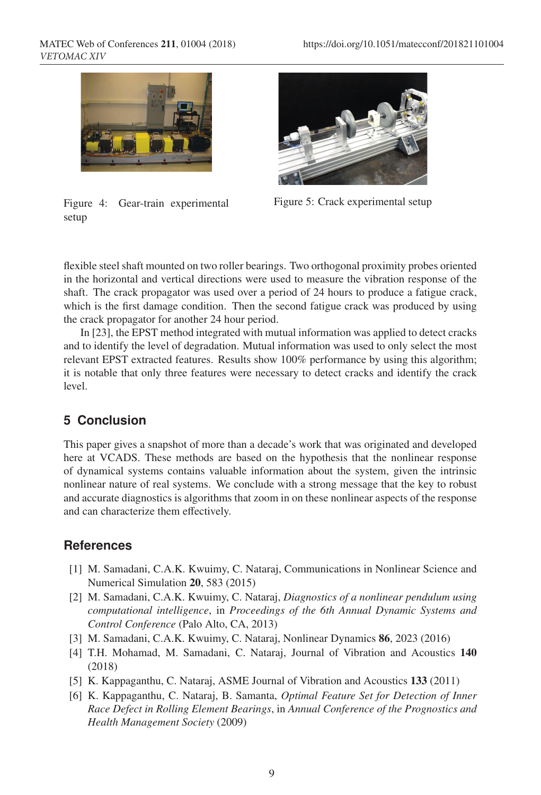

Figure 4: Gear-train experimental setup



Figure 5: Crack experimental setup

flexible steel shaft mounted on two roller bearings. Two orthogonal proximity probes oriented in the horizontal and vertical directions were used to measure the vibration response of the shaft. The crack propagator was used over a period of 24 hours to produce a fatigue crack, which is the first damage condition. Then the second fatigue crack was produced by using the crack propagator for another 24 hour period.

In [23], the EPST method integrated with mutual information was applied to detect cracks and to identify the level of degradation. Mutual information was used to only select the most relevant EPST extracted features. Results show 100% performance by using this algorithm; it is notable that only three features were necessary to detect cracks and identify the crack level.

## **5 Conclusion**

This paper gives a snapshot of more than a decade's work that was originated and developed here at VCADS. These methods are based on the hypothesis that the nonlinear response of dynamical systems contains valuable information about the system, given the intrinsic nonlinear nature of real systems. We conclude with a strong message that the key to robust and accurate diagnostics is algorithms that zoom in on these nonlinear aspects of the response and can characterize them effectively.

### **References**

- [1] M. Samadani, C.A.K. Kwuimy, C. Nataraj, Communications in Nonlinear Science and Numerical Simulation 20, 583 (2015)
- [2] M. Samadani, C.A.K. Kwuimy, C. Nataraj, *Diagnostics of a nonlinear pendulum using computational intelligence*, in *Proceedings of the 6th Annual Dynamic Systems and Control Conference* (Palo Alto, CA, 2013)
- [3] M. Samadani, C.A.K. Kwuimy, C. Nataraj, Nonlinear Dynamics 86, 2023 (2016)
- [4] T.H. Mohamad, M. Samadani, C. Nataraj, Journal of Vibration and Acoustics 140 (2018)
- [5] K. Kappaganthu, C. Nataraj, ASME Journal of Vibration and Acoustics 133 (2011)
- [6] K. Kappaganthu, C. Nataraj, B. Samanta, *Optimal Feature Set for Detection of Inner Race Defect in Rolling Element Bearings*, in *Annual Conference of the Prognostics and Health Management Society* (2009)